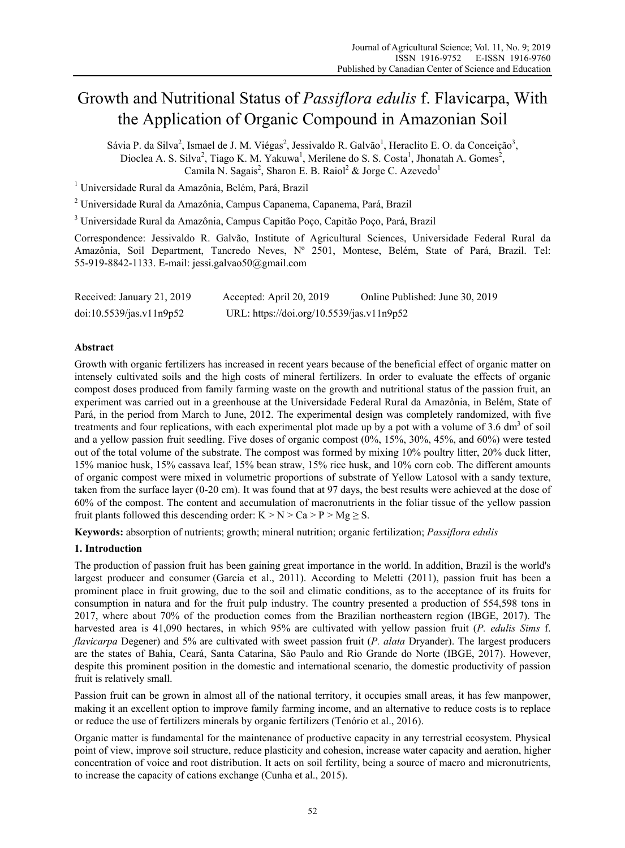# Growth and Nutritional Status of *Passiflora edulis* f. Flavicarpa, With the Application of Organic Compound in Amazonian Soil

Sávia P. da Silva<sup>2</sup>, Ismael de J. M. Viégas<sup>2</sup>, Jessivaldo R. Galvão<sup>1</sup>, Heraclito E. O. da Conceição<sup>3</sup>, Dioclea A. S. Silva<sup>2</sup>, Tiago K. M. Yakuwa<sup>1</sup>, Merilene do S. S. Costa<sup>1</sup>, Jhonatah A. Gomes<sup>2</sup>, Camila N. Sagais<sup>2</sup>, Sharon E. B. Raiol<sup>2</sup> & Jorge C. Azevedo<sup>1</sup>

<sup>1</sup> Universidade Rural da Amazônia, Belém, Pará, Brazil

<sup>2</sup> Universidade Rural da Amazônia, Campus Capanema, Capanema, Pará, Brazil

<sup>3</sup> Universidade Rural da Amazônia, Campus Capitão Poço, Capitão Poço, Pará, Brazil

Correspondence: Jessivaldo R. Galvão, Institute of Agricultural Sciences, Universidade Federal Rural da Amazônia, Soil Department, Tancredo Neves, Nº 2501, Montese, Belém, State of Pará, Brazil. Tel: 55-919-8842-1133. E-mail: jessi.galvao50@gmail.com

| Received: January 21, 2019 | Accepted: April 20, 2019                  | Online Published: June 30, 2019 |
|----------------------------|-------------------------------------------|---------------------------------|
| doi:10.5539/jas.v11n9p52   | URL: https://doi.org/10.5539/jas.v11n9p52 |                                 |

# **Abstract**

Growth with organic fertilizers has increased in recent years because of the beneficial effect of organic matter on intensely cultivated soils and the high costs of mineral fertilizers. In order to evaluate the effects of organic compost doses produced from family farming waste on the growth and nutritional status of the passion fruit, an experiment was carried out in a greenhouse at the Universidade Federal Rural da Amazônia, in Belém, State of Pará, in the period from March to June, 2012. The experimental design was completely randomized, with five treatments and four replications, with each experimental plot made up by a pot with a volume of 3.6 dm<sup>3</sup> of soil and a yellow passion fruit seedling. Five doses of organic compost (0%, 15%, 30%, 45%, and 60%) were tested out of the total volume of the substrate. The compost was formed by mixing 10% poultry litter, 20% duck litter, 15% manioc husk, 15% cassava leaf, 15% bean straw, 15% rice husk, and 10% corn cob. The different amounts of organic compost were mixed in volumetric proportions of substrate of Yellow Latosol with a sandy texture, taken from the surface layer (0-20 cm). It was found that at 97 days, the best results were achieved at the dose of 60% of the compost. The content and accumulation of macronutrients in the foliar tissue of the yellow passion fruit plants followed this descending order:  $K > N > Ca > P > Mg \geq S$ .

**Keywords:** absorption of nutrients; growth; mineral nutrition; organic fertilization; *Passiflora edulis*

# **1. Introduction**

The production of passion fruit has been gaining great importance in the world. In addition, Brazil is the world's largest producer and consumer (Garcia et al., 2011). According to Meletti (2011), passion fruit has been a prominent place in fruit growing, due to the soil and climatic conditions, as to the acceptance of its fruits for consumption in natura and for the fruit pulp industry. The country presented a production of 554,598 tons in 2017, where about 70% of the production comes from the Brazilian northeastern region (IBGE, 2017). The harvested area is 41,090 hectares, in which 95% are cultivated with yellow passion fruit (*P. edulis Sims* f. *flavicarpa* Degener) and 5% are cultivated with sweet passion fruit (*P. alata* Dryander). The largest producers are the states of Bahia, Ceará, Santa Catarina, São Paulo and Rio Grande do Norte (IBGE, 2017). However, despite this prominent position in the domestic and international scenario, the domestic productivity of passion fruit is relatively small.

Passion fruit can be grown in almost all of the national territory, it occupies small areas, it has few manpower, making it an excellent option to improve family farming income, and an alternative to reduce costs is to replace or reduce the use of fertilizers minerals by organic fertilizers (Tenório et al., 2016).

Organic matter is fundamental for the maintenance of productive capacity in any terrestrial ecosystem. Physical point of view, improve soil structure, reduce plasticity and cohesion, increase water capacity and aeration, higher concentration of voice and root distribution. It acts on soil fertility, being a source of macro and micronutrients, to increase the capacity of cations exchange (Cunha et al., 2015).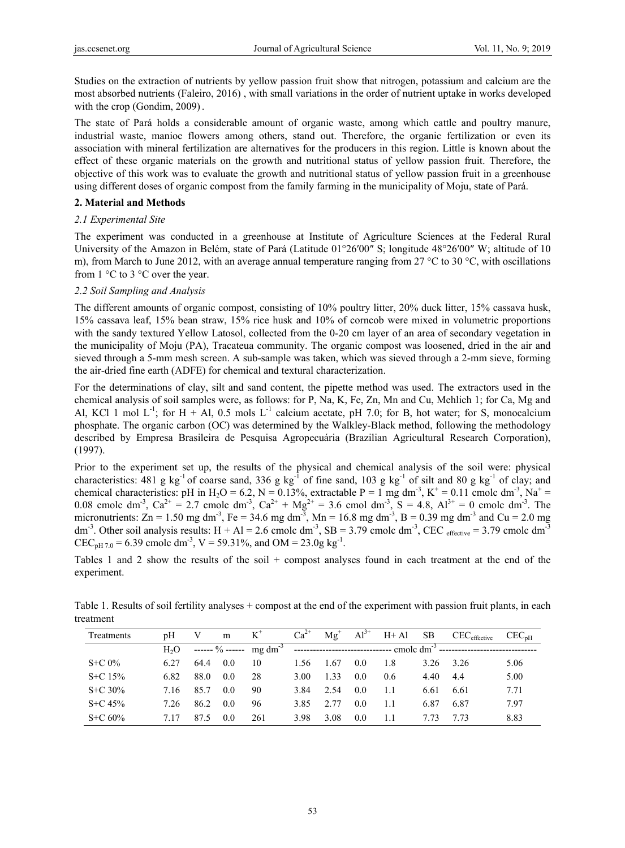Studies on the extraction of nutrients by yellow passion fruit show that nitrogen, potassium and calcium are the most absorbed nutrients (Faleiro, 2016) , with small variations in the order of nutrient uptake in works developed with the crop (Gondim, 2009).

The state of Pará holds a considerable amount of organic waste, among which cattle and poultry manure, industrial waste, manioc flowers among others, stand out. Therefore, the organic fertilization or even its association with mineral fertilization are alternatives for the producers in this region. Little is known about the effect of these organic materials on the growth and nutritional status of yellow passion fruit. Therefore, the objective of this work was to evaluate the growth and nutritional status of yellow passion fruit in a greenhouse using different doses of organic compost from the family farming in the municipality of Moju, state of Pará.

# **2. Material and Methods**

# *2.1 Experimental Site*

The experiment was conducted in a greenhouse at Institute of Agriculture Sciences at the Federal Rural University of the Amazon in Belém, state of Pará (Latitude 01°26′00″ S; longitude 48°26′00″ W; altitude of 10 m), from March to June 2012, with an average annual temperature ranging from 27 °C to 30 °C, with oscillations from 1 °C to 3 °C over the year.

# *2.2 Soil Sampling and Analysis*

The different amounts of organic compost, consisting of 10% poultry litter, 20% duck litter, 15% cassava husk, 15% cassava leaf, 15% bean straw, 15% rice husk and 10% of corncob were mixed in volumetric proportions with the sandy textured Yellow Latosol, collected from the 0-20 cm layer of an area of secondary vegetation in the municipality of Moju (PA), Tracateua community. The organic compost was loosened, dried in the air and sieved through a 5-mm mesh screen. A sub-sample was taken, which was sieved through a 2-mm sieve, forming the air-dried fine earth (ADFE) for chemical and textural characterization.

For the determinations of clay, silt and sand content, the pipette method was used. The extractors used in the chemical analysis of soil samples were, as follows: for P, Na, K, Fe, Zn, Mn and Cu, Mehlich 1; for Ca, Mg and Al, KCl 1 mol  $L^{-1}$ ; for H + Al, 0.5 mols  $L^{-1}$  calcium acetate, pH 7.0; for B, hot water; for S, monocalcium phosphate. The organic carbon (OC) was determined by the Walkley-Black method, following the methodology described by Empresa Brasileira de Pesquisa Agropecuária (Brazilian Agricultural Research Corporation), (1997).

Prior to the experiment set up, the results of the physical and chemical analysis of the soil were: physical characteristics: 481 g kg<sup>-1</sup> of coarse sand, 336 g kg<sup>-1</sup> of fine sand, 103 g kg<sup>-1</sup> of silt and 80 g kg<sup>-1</sup> of clay; and chemical characteristics: pH in H<sub>2</sub>O = 6.2, N = 0.13%, extractable P = 1 mg dm<sup>-3</sup>, K<sup>+</sup> = 0.11 cmolc dm<sup>-3</sup>, Na<sup>+</sup> = 0.08 cmolc dm<sup>-3</sup>, Ca<sup>2+</sup> = 2.7 cmolc dm<sup>-3</sup>, Ca<sup>2+</sup> + Mg<sup>2+</sup> = 3.6 cmol dm<sup>-3</sup>, S = 4.8, Al<sup>3+</sup> = 0 cmolc dm<sup>-3</sup>. The micronutrients:  $Zn = 1.50$  mg dm<sup>-3</sup>, Fe = 34.6 mg dm<sup>-3</sup>, Mn = 16.8 mg dm<sup>-3</sup>, B = 0.39 mg dm<sup>-3</sup> and Cu = 2.0 mg dm<sup>-3</sup>. Other soil analysis results:  $H + Al = 2.6$  cmolc dm<sup>-3</sup>,  $SB = 3.79$  cmolc dm<sup>-3</sup>, CEC effective = 3.79 cmolc dm<sup>-3</sup> CEC<sub>pH 7.0</sub> = 6.39 cmolc dm<sup>-3</sup>, V = 59.31%, and OM = 23.0g kg<sup>-1</sup>.

Tables 1 and 2 show the results of the soil + compost analyses found in each treatment at the end of the experiment.

Table 1. Results of soil fertility analyses + compost at the end of the experiment with passion fruit plants, in each treatment

| Treatments  | pΗ               | V    | m   | $K^{\dagger}$                                                                                            | $Ca^{2+}$ | $Mg^+$ | $Al^{3+}$ | $H + Al$ | <b>SB</b> | $\mathrm{CEC}_{\mathrm{effective}}$ | CEC <sub>nH</sub> |
|-------------|------------------|------|-----|----------------------------------------------------------------------------------------------------------|-----------|--------|-----------|----------|-----------|-------------------------------------|-------------------|
|             | H <sub>2</sub> O |      |     | ------ % ------ $mg \text{ dm}^{-3}$ -------------------------------- cmolc dm <sup>-3</sup> ----------- |           |        |           |          |           |                                     |                   |
| $S+C 0\%$   | 6.27             | 64.4 | 0.0 | 10                                                                                                       | 1.56      | 1.67   | 0.0       | 1.8      | 3.26      | 3.26                                | 5.06              |
| $S + C$ 15% | 6.82             | 88.0 | 0.0 | 28                                                                                                       | 3.00      | 1 33   | 0.0       | 0.6      | 4.40      | 4.4                                 | 5.00              |
| $S+C 30\%$  | 7.16             | 85.7 | 0.0 | 90                                                                                                       | 3.84      | 2.54   | 0.0       | 1.1      | 6.61      | 6.61                                | 7.71              |
| $S + C$ 45% | 7.26             | 86.2 | 0.0 | 96                                                                                                       | 3.85      | 2.77   | 0.0       | 1.1      | 6.87      | 6.87                                | 7.97              |
| $S+C 60%$   | 717              | 87.5 | 0.0 | 261                                                                                                      | 3.98      | 3.08   | 0.0       | 1.1      | 7 73      | 7 73                                | 8.83              |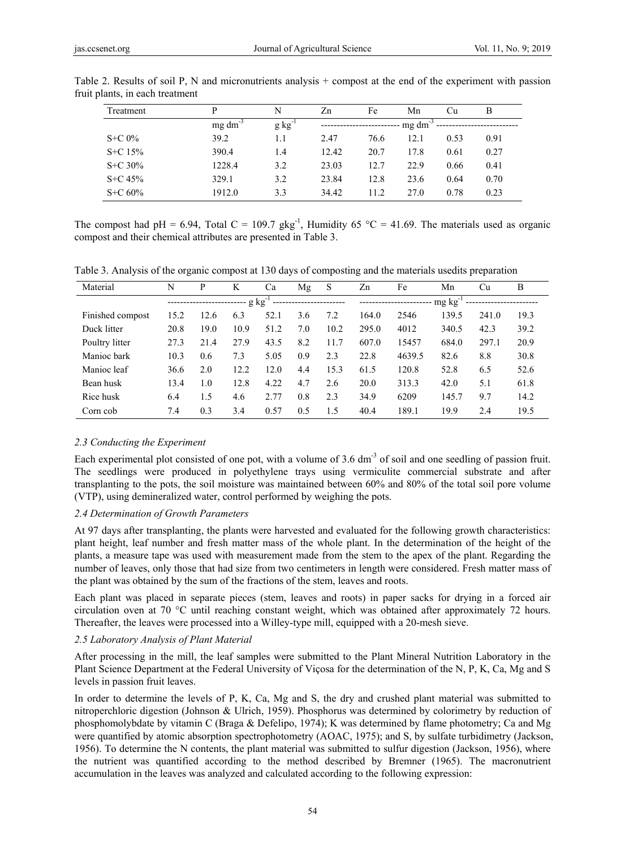| Treatment   | P               | N           | Zn    | Fe   | Mn              | Cu   | B    |
|-------------|-----------------|-------------|-------|------|-----------------|------|------|
|             | $mg \, dm^{-3}$ | $g kg^{-1}$ |       |      | $mg \, dm^{-3}$ |      |      |
| $S+C 0\%$   | 39.2            | 1.1         | 2.47  | 76.6 | 12.1            | 0.53 | 0.91 |
| $S + C$ 15% | 390.4           | 1.4         | 12.42 | 20.7 | 17.8            | 0.61 | 0.27 |
| $S + C$ 30% | 1228.4          | 3.2         | 23.03 | 12.7 | 22.9            | 0.66 | 0.41 |
| $S + C 45%$ | 329.1           | 3.2         | 23.84 | 12.8 | 23.6            | 0.64 | 0.70 |
| $S+C 60%$   | 1912.0          | 3.3         | 34.42 | 11.2 | 27.0            | 0.78 | 0.23 |

Table 2. Results of soil P, N and micronutrients analysis + compost at the end of the experiment with passion fruit plants, in each treatment

The compost had pH = 6.94, Total C = 109.7 gkg<sup>-1</sup>, Humidity 65 °C = 41.69. The materials used as organic compost and their chemical attributes are presented in Table 3.

Table 3. Analysis of the organic compost at 130 days of composting and the materials usedits preparation

| Material         | N                                                            | P    | K    | Ca   | Mg  | S    | Zn       | Fe     | Mn    | Cu    | B    |
|------------------|--------------------------------------------------------------|------|------|------|-----|------|----------|--------|-------|-------|------|
|                  | ------------- g kg <sup>-1</sup><br>------------------------ |      |      |      |     |      | $mg\ kg$ |        |       |       |      |
| Finished compost | 15.2                                                         | 12.6 | 6.3  | 52.1 | 3.6 | 7.2  | 164.0    | 2546   | 139.5 | 241.0 | 19.3 |
| Duck litter      | 20.8                                                         | 19.0 | 10.9 | 51.2 | 7.0 | 10.2 | 295.0    | 4012   | 340.5 | 42.3  | 39.2 |
| Poultry litter   | 27.3                                                         | 21.4 | 27.9 | 43.5 | 8.2 | 11.7 | 607.0    | 15457  | 684.0 | 297.1 | 20.9 |
| Manioc bark      | 10.3                                                         | 0.6  | 7.3  | 5.05 | 0.9 | 2.3  | 22.8     | 4639.5 | 82.6  | 8.8   | 30.8 |
| Manioc leaf      | 36.6                                                         | 2.0  | 12.2 | 12.0 | 4.4 | 15.3 | 61.5     | 120.8  | 52.8  | 6.5   | 52.6 |
| Bean husk        | 13.4                                                         | 1.0  | 12.8 | 4.22 | 4.7 | 2.6  | 20.0     | 313.3  | 42.0  | 5.1   | 61.8 |
| Rice husk        | 6.4                                                          | 1.5  | 4.6  | 2.77 | 0.8 | 2.3  | 34.9     | 6209   | 145.7 | 9.7   | 14.2 |
| Corn cob         | 7.4                                                          | 0.3  | 3.4  | 0.57 | 0.5 | 1.5  | 40.4     | 189.1  | 19.9  | 2.4   | 19.5 |

## *2.3 Conducting the Experiment*

Each experimental plot consisted of one pot, with a volume of 3.6 dm<sup>-3</sup> of soil and one seedling of passion fruit. The seedlings were produced in polyethylene trays using vermiculite commercial substrate and after transplanting to the pots, the soil moisture was maintained between 60% and 80% of the total soil pore volume (VTP), using demineralized water, control performed by weighing the pots.

## *2.4 Determination of Growth Parameters*

At 97 days after transplanting, the plants were harvested and evaluated for the following growth characteristics: plant height, leaf number and fresh matter mass of the whole plant. In the determination of the height of the plants, a measure tape was used with measurement made from the stem to the apex of the plant. Regarding the number of leaves, only those that had size from two centimeters in length were considered. Fresh matter mass of the plant was obtained by the sum of the fractions of the stem, leaves and roots.

Each plant was placed in separate pieces (stem, leaves and roots) in paper sacks for drying in a forced air circulation oven at 70 °C until reaching constant weight, which was obtained after approximately 72 hours. Thereafter, the leaves were processed into a Willey-type mill, equipped with a 20-mesh sieve.

## *2.5 Laboratory Analysis of Plant Material*

After processing in the mill, the leaf samples were submitted to the Plant Mineral Nutrition Laboratory in the Plant Science Department at the Federal University of Viçosa for the determination of the N, P, K, Ca, Mg and S levels in passion fruit leaves.

In order to determine the levels of P, K, Ca, Mg and S, the dry and crushed plant material was submitted to nitroperchloric digestion (Johnson & Ulrich, 1959). Phosphorus was determined by colorimetry by reduction of phosphomolybdate by vitamin C (Braga & Defelipo, 1974); K was determined by flame photometry; Ca and Mg were quantified by atomic absorption spectrophotometry (AOAC, 1975); and S, by sulfate turbidimetry (Jackson, 1956). To determine the N contents, the plant material was submitted to sulfur digestion (Jackson, 1956), where the nutrient was quantified according to the method described by Bremner (1965). The macronutrient accumulation in the leaves was analyzed and calculated according to the following expression: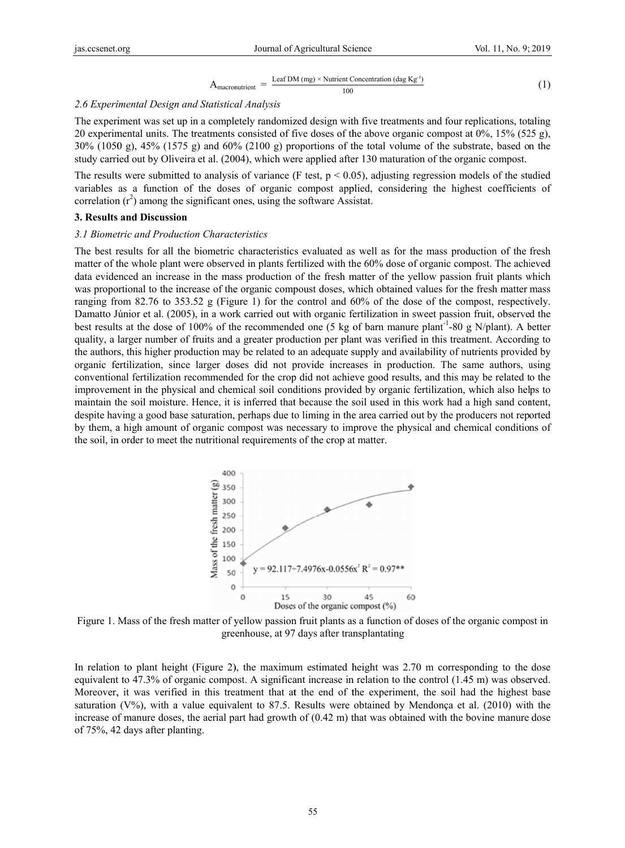$$
A_{\text{macro}} = \frac{\text{Leaf DM (mg)} \times \text{Nutrient concentration (dag Kg}^1)}{100} \tag{1}
$$

#### 2.6 Experimental Design and Statistical Analysis

The experiment was set up in a completely randomized design with five treatments and four replications, totaling 20 experimental units. The treatments consisted of five doses of the above organic compost at  $0\%$ ,  $15\%$  (525 g),  $30\%$  (1050 g), 45% (1575 g) and 60% (2100 g) proportions of the total volume of the substrate, based on the study carried out by Oliveira et al. (2004), which were applied after 130 maturation of the organic compost.

The results were submitted to analysis of variance (F test,  $p < 0.05$ ), adjusting regression models of the studied variables as a function of the doses of organic compost applied, considering the highest coefficients of correlation  $(r^2)$  among the significant ones, using the software Assistat.

## 3. Results and Discussion

#### 3.1 Biometric and Production Characteristics

The best results for all the biometric characteristics evaluated as well as for the mass production of the fresh matter of the whole plant were observed in plants fertilized with the 60% dose of organic compost. The achieved data evidenced an increase in the mass production of the fresh matter of the yellow passion fruit plants which was proportional to the increase of the organic compoust doses, which obtained values for the fresh matter mass ranging from 82.76 to 353.52 g (Figure 1) for the control and  $60\%$  of the dose of the compost, respectively. Damatto Júnior et al. (2005), in a work carried out with organic fertilization in sweet passion fruit, observed the best results at the dose of 100% of the recommended one (5 kg of barn manure plant<sup>-1</sup>-80 g N/plant). A better quality, a larger number of fruits and a greater production per plant was verified in this treatment. According to the authors, this higher production may be related to an adequate supply and availability of nutrients provided by organic fertilization, since larger doses did not provide increases in production. The same authors, using conventional fertilization recommended for the crop did not achieve good results, and this may be related to the improvement in the physical and chemical soil conditions provided by organic fertilization, which also helps to maintain the soil moisture. Hence, it is inferred that because the soil used in this work had a high sand content, despite having a good base saturation, perhaps due to liming in the area carried out by the producers not reported by them, a high amount of organic compost was necessary to improve the physical and chemical conditions of the soil, in order to meet the nutritional requirements of the crop at matter.



Figure 1. Mass of the fresh matter of yellow passion fruit plants as a function of doses of the organic compost in greenhouse, at 97 days after transplantating

In relation to plant height (Figure 2), the maximum estimated height was 2.70 m corresponding to the dose equivalent to 47.3% of organic compost. A significant increase in relation to the control (1.45 m) was observed. Moreover, it was verified in this treatment that at the end of the experiment, the soil had the highest base saturation  $(V\%)$ , with a value equivalent to 87.5. Results were obtained by Mendonça et al. (2010) with the increase of manure doses, the aerial part had growth of  $(0.42 \text{ m})$  that was obtained with the bovine manure dose of 75%, 42 days after planting.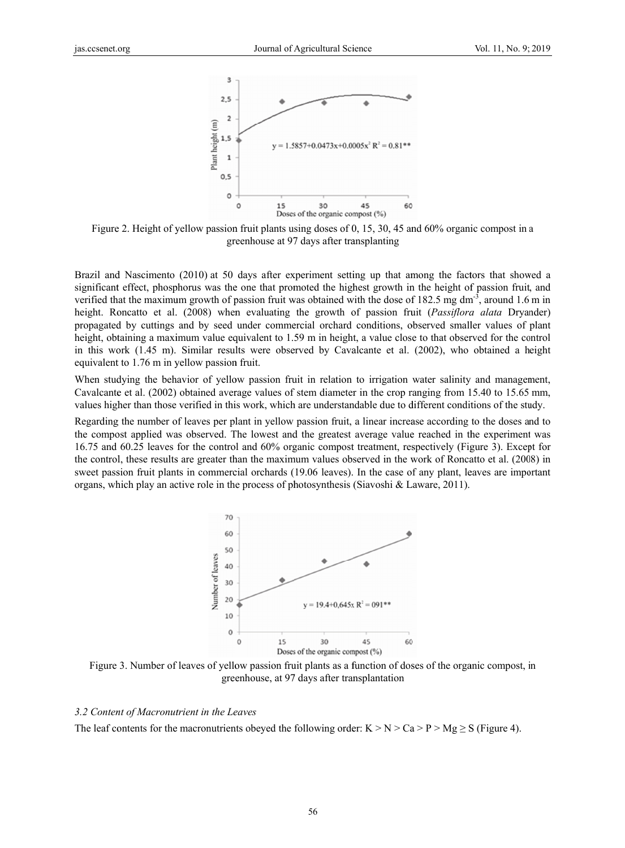

Figure 2. Height of yellow passion fruit plants using doses of 0, 15, 30, 45 and 60% organic compost in a greenhouse at 97 days after transplanting

Brazil and Nascimento (2010) at 50 days after experiment setting up that among the factors that showed a significant effect, phosphorus was the one that promoted the highest growth in the height of passion fruit, and verified that the maximum growth of passion fruit was obtained with the dose of 182.5 mg dm<sup>-3</sup>, around 1.6 m in height. Roncatto et al. (2008) when evaluating the growth of passion fruit (*Passiflora alata* Dryander) propagated by cuttings and by seed under commercial orchard conditions, observed smaller values of plant height, obtaining a maximum value equivalent to 1.59 m in height, a value close to that observed for the control in this work (1.45 m). Similar results were observed by Cavalcante et al. (2002), who obtained a height equivalent to 1.76 m in yellow passion fruit.

When studying the behavior of yellow passion fruit in relation to irrigation water salinity and management, Cavalcante et al. (2002) obtained average values of stem diameter in the crop ranging from 15.40 to 15.65 mm, values higher than those verified in this work, which are understandable due to different conditions of the study.

Regarding the number of leaves per plant in yellow passion fruit, a linear increase according to the doses and to the compost applied was observed. The lowest and the greatest average value reached in the experiment was 16.75 and 60.25 leaves for the control and 60% organic compost treatment, respectively (Figure 3). Except for the control, these results are greater than the maximum values observed in the work of Roncatto et al. (2008) in sweet passion fruit plants in commercial orchards (19.06 leaves). In the case of any plant, leaves are important organs, which play an active role in the process of photosynthesis (Siavoshi & Laware, 2011).



Figure 3. Number of leaves of yellow passion fruit plants as a function of doses of the organic compost, in greenhouse, at 97 days after transplantation

#### 3.2 Content of Macronutrient in the Leaves

The leaf contents for the macronutrients obeyed the following order:  $K > N > Ca > P > Mg \geq S$  (Figure 4).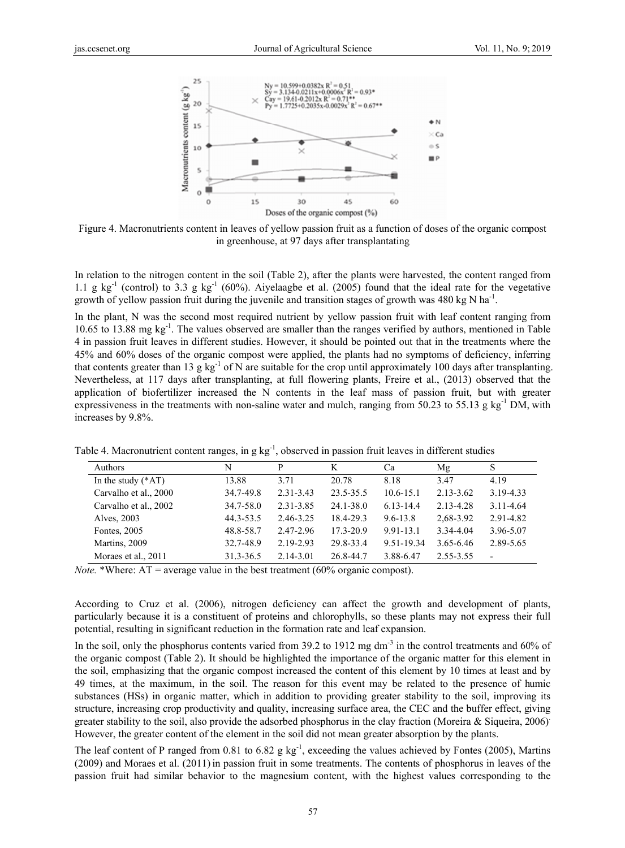

Figure 4. Macronutrients content in leaves of yellow passion fruit as a function of doses of the organic compost in greenhouse, at 97 days after transplantating

In relation to the nitrogen content in the soil (Table 2), after the plants were harvested, the content ranged from 1.1 g kg<sup>-1</sup> (control) to 3.3 g kg<sup>-1</sup> (60%). Aivelaagbe et al. (2005) found that the ideal rate for the vegetative growth of yellow passion fruit during the juvenile and transition stages of growth was 480 kg N ha<sup>-1</sup>.

In the plant, N was the second most required nutrient by vellow passion fruit with leaf content ranging from 10.65 to 13.88 mg  $kg^{-1}$ . The values observed are smaller than the ranges verified by authors, mentioned in Table 4 in passion fruit leaves in different studies. However, it should be pointed out that in the treatments where the 45% and 60% doses of the organic compost were applied, the plants had no symptoms of deficiency, inferring that contents greater than 13 g  $\text{kg}^{-1}$  of N are suitable for the crop until approximately 100 days after transplanting. Nevertheless, at 117 days after transplanting, at full flowering plants, Freire et al., (2013) observed that the application of biofertilizer increased the N contents in the leaf mass of passion fruit, but with greater expressiveness in the treatments with non-saline water and mulch, ranging from 50.23 to 55.13 g  $kg<sup>-1</sup> DM$ , with increases by 9.8%.

| <b>Authors</b>        | N         | P             | K             | Ca            | Mg            | S                        |
|-----------------------|-----------|---------------|---------------|---------------|---------------|--------------------------|
| In the study $(*AT)$  | 13.88     | 3.71          | 20.78         | 8.18          | 3.47          | 4.19                     |
| Carvalho et al., 2000 | 34.7-49.8 | $2.31 - 3.43$ | 23.5-35.5     | $10.6 - 15.1$ | $2.13 - 3.62$ | 3.19-4.33                |
| Carvalho et al., 2002 | 34.7-58.0 | 2.31-3.85     | 24.1-38.0     | 6.13-14.4     | 2.13-4.28     | 3.11-4.64                |
| Alves, 2003           | 44.3-53.5 | 2.46-3.25     | 18.4-29.3     | 9.6-13.8      | 2,68-3.92     | 2.91-4.82                |
| Fontes, 2005          | 48.8-58.7 | 2.47-2.96     | $17.3 - 20.9$ | $9.91 - 13.1$ | 3.34-4.04     | 3.96-5.07                |
| Martins, 2009         | 32.7-48.9 | 2.19-2.93     | 29.8-33.4     | 9.51-19.34    | 3.65-6.46     | 2.89-5.65                |
| Moraes et al., 2011   | 31.3-36.5 | 2.14-3.01     | 26.8-44.7     | 3.88-6.47     | 2.55-3.55     | $\overline{\phantom{0}}$ |

Table 4. Macronutrient content ranges, in g kg<sup>-1</sup>, observed in passion fruit leaves in different studies

*Note.* \*Where:  $AT = average$  value in the best treatment (60% organic compost).

According to Cruz et al. (2006), nitrogen deficiency can affect the growth and development of plants, particularly because it is a constituent of proteins and chlorophylls, so these plants may not express their full potential, resulting in significant reduction in the formation rate and leaf expansion.

In the soil, only the phosphorus contents varied from 39.2 to 1912 mg dm<sup>-3</sup> in the control treatments and 60% of the organic compost (Table 2). It should be highlighted the importance of the organic matter for this element in the soil, emphasizing that the organic compost increased the content of this element by 10 times at least and by 49 times, at the maximum, in the soil. The reason for this event may be related to the presence of humic substances (HSs) in organic matter, which in addition to providing greater stability to the soil, improving its structure, increasing crop productivity and quality, increasing surface area, the CEC and the buffer effect, giving greater stability to the soil, also provide the adsorbed phosphorus in the clay fraction (Moreira & Siqueira, 2006) However, the greater content of the element in the soil did not mean greater absorption by the plants.

The leaf content of P ranged from 0.81 to 6.82  $g kg^{-1}$ , exceeding the values achieved by Fontes (2005), Martins (2009) and Moraes et al. (2011) in passion fruit in some treatments. The contents of phosphorus in leaves of the passion fruit had similar behavior to the magnesium content, with the highest values corresponding to the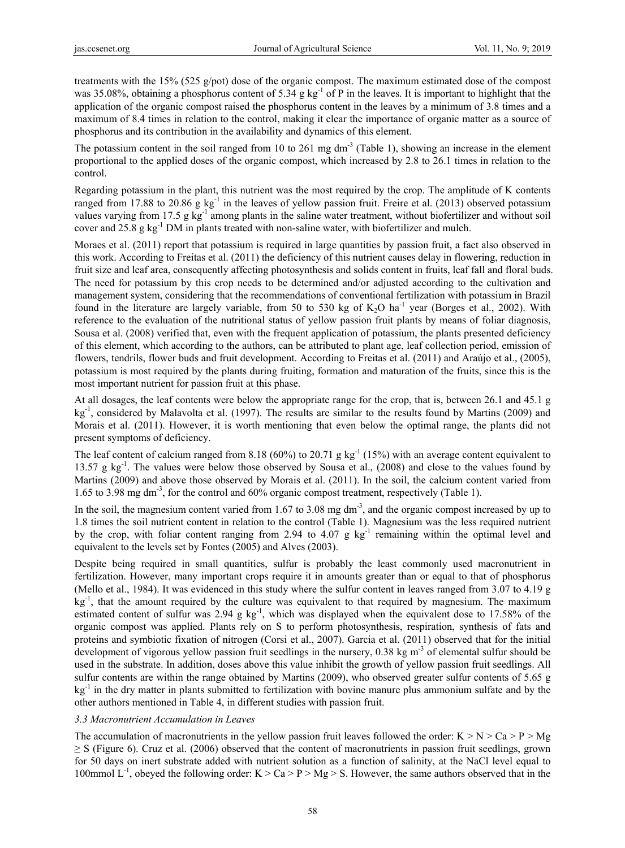treatments with the 15% (525 g/pot) dose of the organic compost. The maximum estimated dose of the compost was 35.08%, obtaining a phosphorus content of 5.34 g kg<sup>-1</sup> of P in the leaves. It is important to highlight that the application of the organic compost raised the phosphorus content in the leaves by a minimum of 3.8 times and a maximum of 8.4 times in relation to the control, making it clear the importance of organic matter as a source of phosphorus and its contribution in the availability and dynamics of this element.

The potassium content in the soil ranged from 10 to 261 mg  $dm<sup>-3</sup>$  (Table 1), showing an increase in the element proportional to the applied doses of the organic compost, which increased by 2.8 to 26.1 times in relation to the control.

Regarding potassium in the plant, this nutrient was the most required by the crop. The amplitude of K contents ranged from 17.88 to 20.86 g  $kg^{-1}$  in the leaves of yellow passion fruit. Freire et al. (2013) observed potassium values varying from 17.5 g kg<sup>-1</sup> among plants in the saline water treatment, without biofertilizer and without soil cover and  $25.8 \text{ g kg}^{-1}$  DM in plants treated with non-saline water, with biofertilizer and mulch.

Moraes et al. (2011) report that potassium is required in large quantities by passion fruit, a fact also observed in this work. According to Freitas et al. (2011) the deficiency of this nutrient causes delay in flowering, reduction in fruit size and leaf area, consequently affecting photosynthesis and solids content in fruits, leaf fall and floral buds. The need for potassium by this crop needs to be determined and/or adjusted according to the cultivation and management system, considering that the recommendations of conventional fertilization with potassium in Brazil found in the literature are largely variable, from 50 to 530 kg of  $K_2O$  ha<sup>-1</sup> year (Borges et al., 2002). With reference to the evaluation of the nutritional status of yellow passion fruit plants by means of foliar diagnosis, Sousa et al. (2008) verified that, even with the frequent application of potassium, the plants presented deficiency of this element, which according to the authors, can be attributed to plant age, leaf collection period, emission of flowers, tendrils, flower buds and fruit development. According to Freitas et al. (2011) and Araújo et al., (2005), potassium is most required by the plants during fruiting, formation and maturation of the fruits, since this is the most important nutrient for passion fruit at this phase.

At all dosages, the leaf contents were below the appropriate range for the crop, that is, between 26.1 and 45.1 g  $kg<sup>-1</sup>$ , considered by Malavolta et al. (1997). The results are similar to the results found by Martins (2009) and Morais et al. (2011). However, it is worth mentioning that even below the optimal range, the plants did not present symptoms of deficiency.

The leaf content of calcium ranged from 8.18 (60%) to 20.71 g kg<sup>-1</sup> (15%) with an average content equivalent to 13.57 g  $kg<sup>-1</sup>$ . The values were below those observed by Sousa et al., (2008) and close to the values found by Martins (2009) and above those observed by Morais et al. (2011). In the soil, the calcium content varied from 1.65 to 3.98 mg dm-3, for the control and 60% organic compost treatment, respectively (Table 1).

In the soil, the magnesium content varied from 1.67 to 3.08 mg dm<sup>-3</sup>, and the organic compost increased by up to 1.8 times the soil nutrient content in relation to the control (Table 1). Magnesium was the less required nutrient by the crop, with foliar content ranging from 2.94 to 4.07 g  $kg^{-1}$  remaining within the optimal level and equivalent to the levels set by Fontes (2005) and Alves (2003).

Despite being required in small quantities, sulfur is probably the least commonly used macronutrient in fertilization. However, many important crops require it in amounts greater than or equal to that of phosphorus (Mello et al., 1984). It was evidenced in this study where the sulfur content in leaves ranged from 3.07 to 4.19 g  $kg<sup>-1</sup>$ , that the amount required by the culture was equivalent to that required by magnesium. The maximum estimated content of sulfur was  $2.94 \text{ g kg}^{-1}$ , which was displayed when the equivalent dose to 17.58% of the organic compost was applied. Plants rely on S to perform photosynthesis, respiration, synthesis of fats and proteins and symbiotic fixation of nitrogen (Corsi et al., 2007). Garcia et al. (2011) observed that for the initial development of vigorous yellow passion fruit seedlings in the nursery, 0.38 kg m<sup>-3</sup> of elemental sulfur should be used in the substrate. In addition, doses above this value inhibit the growth of yellow passion fruit seedlings. All sulfur contents are within the range obtained by Martins (2009), who observed greater sulfur contents of 5.65 g  $kg<sup>-1</sup>$  in the dry matter in plants submitted to fertilization with bovine manure plus ammonium sulfate and by the other authors mentioned in Table 4, in different studies with passion fruit.

## *3.3 Macronutrient Accumulation in Leaves*

The accumulation of macronutrients in the yellow passion fruit leaves followed the order:  $K > N > Ca > P > Mg$  $\geq$  S (Figure 6). Cruz et al. (2006) observed that the content of macronutrients in passion fruit seedlings, grown for 50 days on inert substrate added with nutrient solution as a function of salinity, at the NaCl level equal to 100mmol  $L^{-1}$ , obeyed the following order: K > Ca > P > Mg > S. However, the same authors observed that in the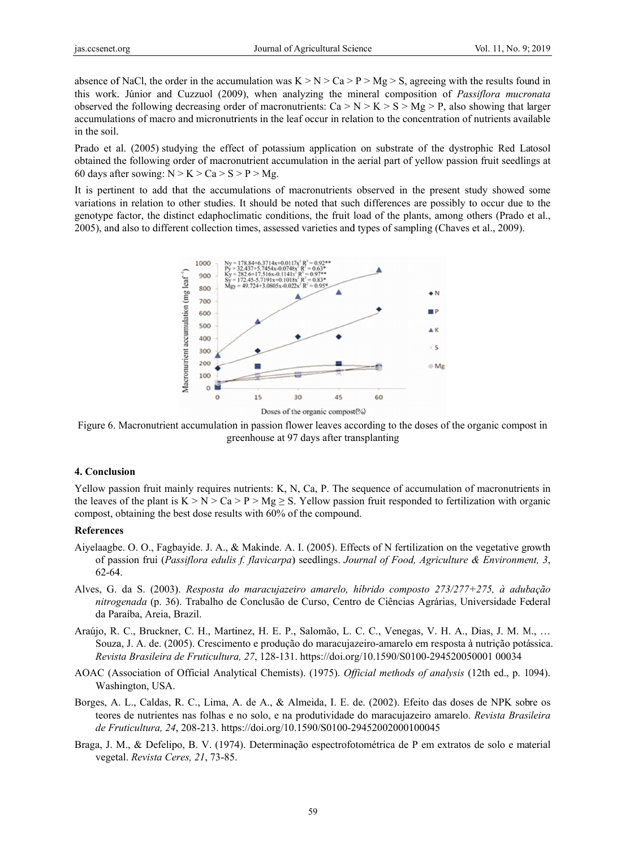absence of NaCl, the order in the accumulation was  $K > N > Ca > P > Mg > S$ , agreeing with the results found in this work. Júnior and Cuzzuol (2009), when analyzing the mineral composition of *Passiflora mucronata* observed the following decreasing order of macronutrients:  $Ca > N > K > S > Mg > P$ , also showing that larger accumulations of macro and micronutrients in the leaf occur in relation to the concentration of nutrients available in the soil.

Prado et al. (2005) studying the effect of potassium application on substrate of the dystrophic Red Latosol obtained the following order of macronutrient accumulation in the aerial part of yellow passion fruit seedlings at 60 days after sowing:  $N > K > Ca > S > P > Mg$ .

It is pertinent to add that the accumulations of macronutrients observed in the present study showed some variations in relation to other studies. It should be noted that such differences are possibly to occur due to the genotype factor, the distinct edaphoclimatic conditions, the fruit load of the plants, among others (Prado et al., 2005), and also to different collection times, assessed varieties and types of sampling (Chaves et al., 2009).



Figure 6. Macronutrient accumulation in passion flower leaves according to the doses of the organic compost in greenhouse at 97 days after transplanting

#### 4. Conclusion

Yellow passion fruit mainly requires nutrients: K, N, Ca, P. The sequence of accumulation of macronutrients in the leaves of the plant is  $K > N > Ca > P > Mg \ge S$ . Yellow passion fruit responded to fertilization with organic compost, obtaining the best dose results with 60% of the compound.

### **References**

- Aiyelaagbe. O. O., Fagbayide. J. A., & Makinde. A. I. (2005). Effects of N fertilization on the vegetative growth of passion frui (Passiflora edulis f. flavicarpa) seedlings. Journal of Food, Agriculture & Environment, 3, 62-64.
- Alves, G. da S. (2003). Resposta do maracujazeiro amarelo, híbrido composto 273/277+275, à adubação nitrogenada (p. 36). Trabalho de Conclusão de Curso, Centro de Ciências Agrárias, Universidade Federal da Paraíba, Areia, Brazil.
- Araújo, R. C., Bruckner, C. H., Martinez, H. E. P., Salomão, L. C. C., Venegas, V. H. A., Dias, J. M. M., ... Souza, J. A. de. (2005). Crescimento e produção do maracujazeiro-amarelo em resposta à nutrição potássica. Revista Brasileira de Fruticultura, 27, 128-131. https://doi.org/10.1590/S0100-294520050001 00034
- AOAC (Association of Official Analytical Chemists). (1975). Official methods of analysis (12th ed., p. 1094). Washington, USA.
- Borges, A. L., Caldas, R. C., Lima, A. de A., & Almeida, I. E. de. (2002). Efeito das doses de NPK sobre os teores de nutrientes nas folhas e no solo, e na produtividade do maracujazeiro amarelo. Revista Brasileira de Fruticultura, 24, 208-213. https://doi.org/10.1590/S0100-29452002000100045
- Braga, J. M., & Defelipo, B. V. (1974). Determinação espectrofotométrica de P em extratos de solo e material vegetal. Revista Ceres, 21, 73-85.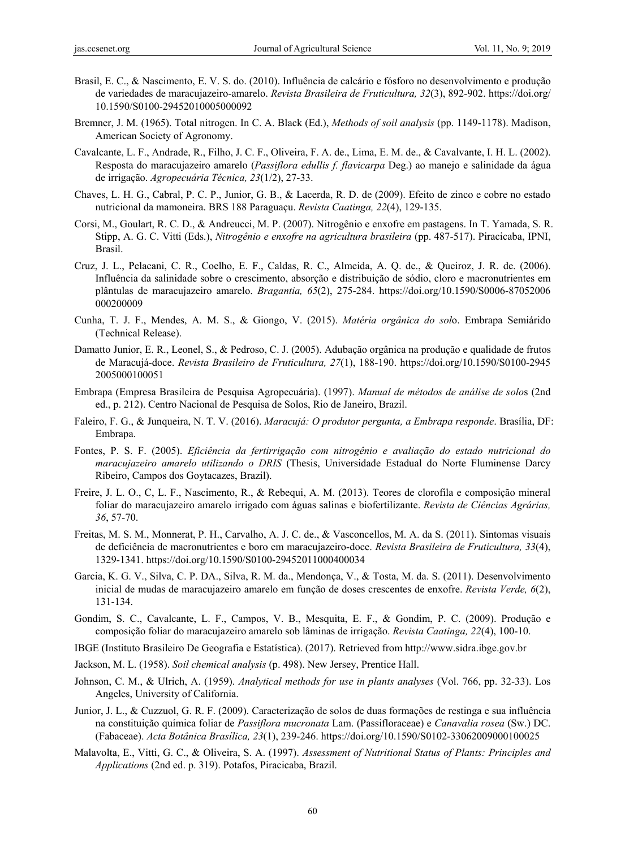- Brasil, E. C., & Nascimento, E. V. S. do. (2010). Influência de calcário e fósforo no desenvolvimento e produção de variedades de maracujazeiro-amarelo. *Revista Brasileira de Fruticultura, 32*(3), 892-902. https://doi.org/ 10.1590/S0100-29452010005000092
- Bremner, J. M. (1965). Total nitrogen. In C. A. Black (Ed.), *Methods of soil analysis* (pp. 1149-1178). Madison, American Society of Agronomy.
- Cavalcante, L. F., Andrade, R., Filho, J. C. F., Oliveira, F. A. de., Lima, E. M. de., & Cavalvante, I. H. L. (2002). Resposta do maracujazeiro amarelo (*Passiflora edullis f. flavicarpa* Deg.) ao manejo e salinidade da água de irrigação. *Agropecuária Técnica, 23*(1/2), 27-33.
- Chaves, L. H. G., Cabral, P. C. P., Junior, G. B., & Lacerda, R. D. de (2009). Efeito de zinco e cobre no estado nutricional da mamoneira. BRS 188 Paraguaçu. *Revista Caatinga, 22*(4), 129-135.
- Corsi, M., Goulart, R. C. D., & Andreucci, M. P. (2007). Nitrogênio e enxofre em pastagens. In T. Yamada, S. R. Stipp, A. G. C. Vitti (Eds.), *Nitrogênio e enxofre na agricultura brasileira* (pp. 487-517). Piracicaba, IPNI, Brasil.
- Cruz, J. L., Pelacani, C. R., Coelho, E. F., Caldas, R. C., Almeida, A. Q. de., & Queiroz, J. R. de. (2006). Influência da salinidade sobre o crescimento, absorção e distribuição de sódio, cloro e macronutrientes em plântulas de maracujazeiro amarelo. *Bragantia, 65*(2), 275-284. https://doi.org/10.1590/S0006-87052006 000200009
- Cunha, T. J. F., Mendes, A. M. S., & Giongo, V. (2015). *Matéria orgânica do sol*o. Embrapa Semiárido (Technical Release).
- Damatto Junior, E. R., Leonel, S., & Pedroso, C. J. (2005). Adubação orgânica na produção e qualidade de frutos de Maracujá-doce. *Revista Brasileiro de Fruticultura, 27*(1), 188-190. https://doi.org/10.1590/S0100-2945 2005000100051
- Embrapa (Empresa Brasileira de Pesquisa Agropecuária). (1997). *Manual de métodos de análise de solo*s (2nd ed., p. 212). Centro Nacional de Pesquisa de Solos, Rio de Janeiro, Brazil.
- Faleiro, F. G., & Junqueira, N. T. V. (2016). *Maracujá: O produtor pergunta, a Embrapa responde*. Brasília, DF: Embrapa.
- Fontes, P. S. F. (2005). *Eficiência da fertirrigação com nitrogênio e avaliação do estado nutricional do maracujazeiro amarelo utilizando o DRIS* (Thesis, Universidade Estadual do Norte Fluminense Darcy Ribeiro, Campos dos Goytacazes, Brazil).
- Freire, J. L. O., C, L. F., Nascimento, R., & Rebequi, A. M. (2013). Teores de clorofila e composição mineral foliar do maracujazeiro amarelo irrigado com águas salinas e biofertilizante. *Revista de Ciências Agrárias, 36*, 57-70.
- Freitas, M. S. M., Monnerat, P. H., Carvalho, A. J. C. de., & Vasconcellos, M. A. da S. (2011). Sintomas visuais de deficiência de macronutrientes e boro em maracujazeiro-doce. *Revista Brasileira de Fruticultura, 33*(4), 1329-1341. https://doi.org/10.1590/S0100-29452011000400034
- Garcia, K. G. V., Silva, C. P. DA., Silva, R. M. da., Mendonça, V., & Tosta, M. da. S. (2011). Desenvolvimento inicial de mudas de maracujazeiro amarelo em função de doses crescentes de enxofre. *Revista Verde, 6*(2), 131-134.
- Gondim, S. C., Cavalcante, L. F., Campos, V. B., Mesquita, E. F., & Gondim, P. C. (2009). Produção e composição foliar do maracujazeiro amarelo sob lâminas de irrigação. *Revista Caatinga, 22*(4), 100-10.
- IBGE (Instituto Brasileiro De Geografia e Estatística). (2017). Retrieved from http://www.sidra.ibge.gov.br
- Jackson, M. L. (1958). *Soil chemical analysis* (p. 498). New Jersey, Prentice Hall.
- Johnson, C. M., & Ulrich, A. (1959). *Analytical methods for use in plants analyses* (Vol. 766, pp. 32-33). Los Angeles, University of California.
- Junior, J. L., & Cuzzuol, G. R. F. (2009). Caracterização de solos de duas formações de restinga e sua influência na constituição química foliar de *Passiflora mucronata* Lam. (Passifloraceae) e *Canavalia rosea* (Sw.) DC. (Fabaceae). *Acta Botânica Brasílica, 23*(1), 239-246. https://doi.org/10.1590/S0102-33062009000100025
- Malavolta, E., Vitti, G. C., & Oliveira, S. A. (1997). *Assessment of Nutritional Status of Plants: Principles and Applications* (2nd ed. p. 319). Potafos, Piracicaba, Brazil.